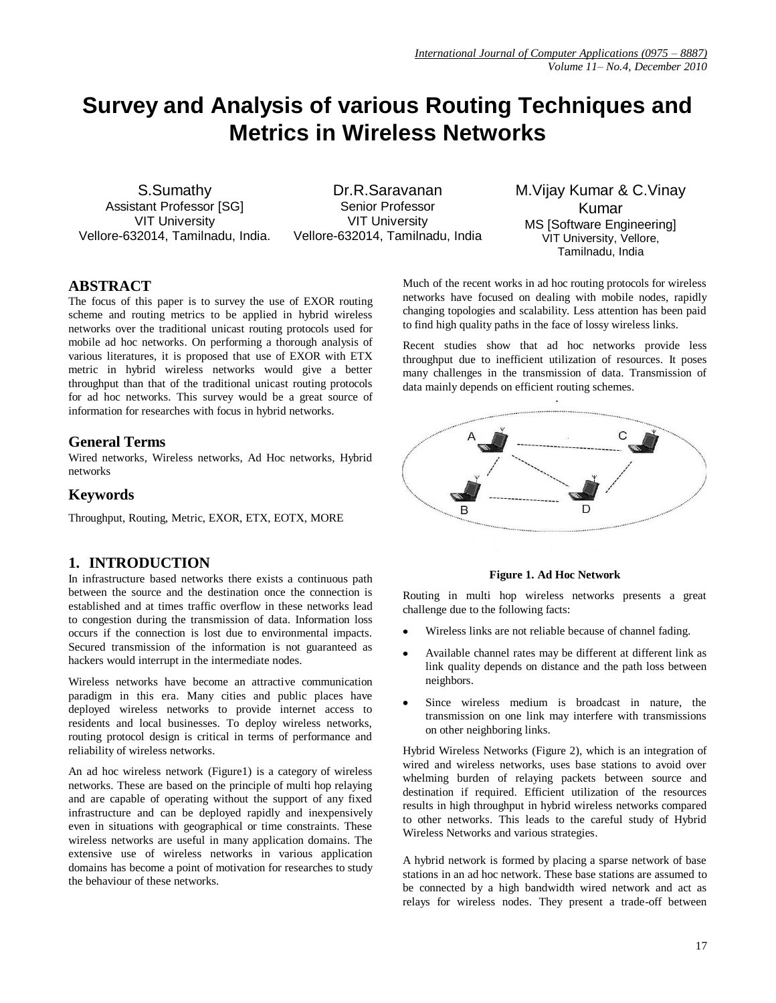# **Survey and Analysis of various Routing Techniques and Metrics in Wireless Networks**

S.Sumathy Assistant Professor [SG] VIT University Vellore-632014, Tamilnadu, India.

Dr.R.Saravanan Senior Professor VIT University Vellore-632014, Tamilnadu, India M.Vijay Kumar & C.Vinay Kumar MS [Software Engineering] VIT University, Vellore, Tamilnadu, India

## **ABSTRACT**

The focus of this paper is to survey the use of EXOR routing scheme and routing metrics to be applied in hybrid wireless networks over the traditional unicast routing protocols used for mobile ad hoc networks. On performing a thorough analysis of various literatures, it is proposed that use of EXOR with ETX metric in hybrid wireless networks would give a better throughput than that of the traditional unicast routing protocols for ad hoc networks. This survey would be a great source of information for researches with focus in hybrid networks.

## **General Terms**

Wired networks, Wireless networks, Ad Hoc networks, Hybrid networks

## **Keywords**

Throughput, Routing, Metric, EXOR, ETX, EOTX, MORE

## **1. INTRODUCTION**

In infrastructure based networks there exists a continuous path between the source and the destination once the connection is established and at times traffic overflow in these networks lead to congestion during the transmission of data. Information loss occurs if the connection is lost due to environmental impacts. Secured transmission of the information is not guaranteed as hackers would interrupt in the intermediate nodes.

Wireless networks have become an attractive communication paradigm in this era. Many cities and public places have deployed wireless networks to provide internet access to residents and local businesses. To deploy wireless networks, routing protocol design is critical in terms of performance and reliability of wireless networks.

An ad hoc wireless network (Figure1) is a category of wireless networks. These are based on the principle of multi hop relaying and are capable of operating without the support of any fixed infrastructure and can be deployed rapidly and inexpensively even in situations with geographical or time constraints. These wireless networks are useful in many application domains. The extensive use of wireless networks in various application domains has become a point of motivation for researches to study the behaviour of these networks.

Much of the recent works in ad hoc routing protocols for wireless networks have focused on dealing with mobile nodes, rapidly changing topologies and scalability. Less attention has been paid to find high quality paths in the face of lossy wireless links.

Recent studies show that ad hoc networks provide less throughput due to inefficient utilization of resources. It poses many challenges in the transmission of data. Transmission of data mainly depends on efficient routing schemes.



**Figure 1. Ad Hoc Network**

Routing in multi hop wireless networks presents a great challenge due to the following facts:

- Wireless links are not reliable because of channel fading.
- Available channel rates may be different at different link as link quality depends on distance and the path loss between neighbors.
- Since wireless medium is broadcast in nature, the transmission on one link may interfere with transmissions on other neighboring links.

Hybrid Wireless Networks (Figure 2), which is an integration of wired and wireless networks, uses base stations to avoid over whelming burden of relaying packets between source and destination if required. Efficient utilization of the resources results in high throughput in hybrid wireless networks compared to other networks. This leads to the careful study of Hybrid Wireless Networks and various strategies.

A hybrid network is formed by placing a sparse network of base stations in an ad hoc network. These base stations are assumed to be connected by a high bandwidth wired network and act as relays for wireless nodes. They present a trade-off between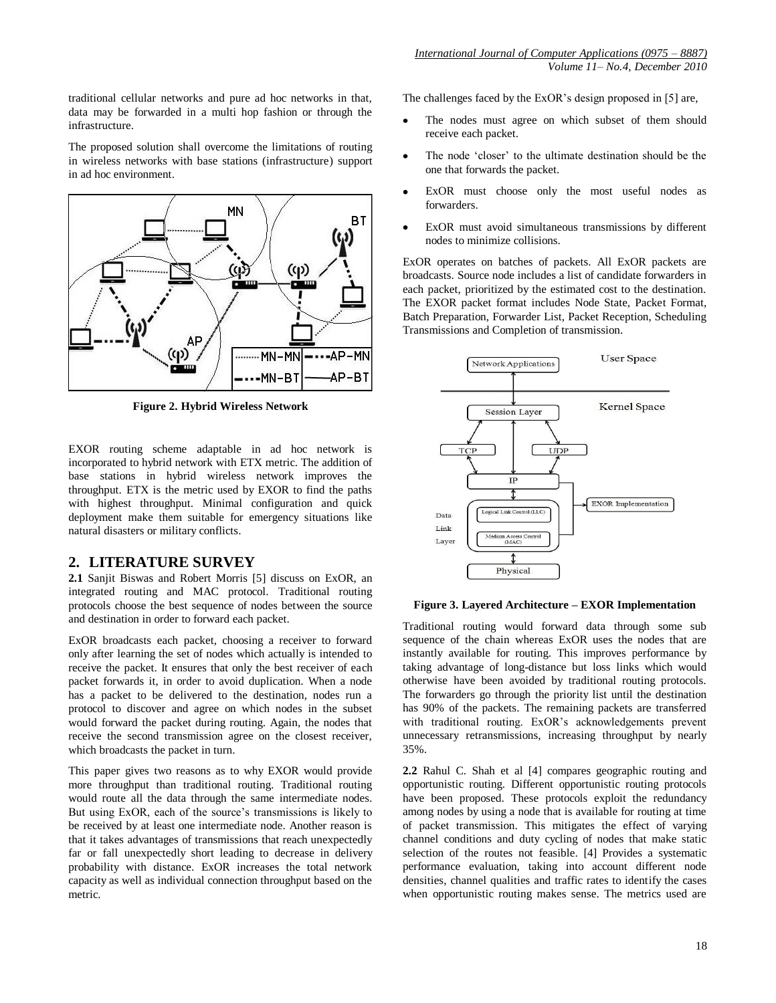traditional cellular networks and pure ad hoc networks in that, data may be forwarded in a multi hop fashion or through the infrastructure.

The proposed solution shall overcome the limitations of routing in wireless networks with base stations (infrastructure) support in ad hoc environment.



**Figure 2. Hybrid Wireless Network**

EXOR routing scheme adaptable in ad hoc network is incorporated to hybrid network with ETX metric. The addition of base stations in hybrid wireless network improves the throughput. ETX is the metric used by EXOR to find the paths with highest throughput. Minimal configuration and quick deployment make them suitable for emergency situations like natural disasters or military conflicts.

## **2. LITERATURE SURVEY**

**2.1** Sanjit Biswas and Robert Morris [5] discuss on ExOR, an integrated routing and MAC protocol. Traditional routing protocols choose the best sequence of nodes between the source and destination in order to forward each packet.

ExOR broadcasts each packet, choosing a receiver to forward only after learning the set of nodes which actually is intended to receive the packet. It ensures that only the best receiver of each packet forwards it, in order to avoid duplication. When a node has a packet to be delivered to the destination, nodes run a protocol to discover and agree on which nodes in the subset would forward the packet during routing. Again, the nodes that receive the second transmission agree on the closest receiver, which broadcasts the packet in turn.

This paper gives two reasons as to why EXOR would provide more throughput than traditional routing. Traditional routing would route all the data through the same intermediate nodes. But using ExOR, each of the source's transmissions is likely to be received by at least one intermediate node. Another reason is that it takes advantages of transmissions that reach unexpectedly far or fall unexpectedly short leading to decrease in delivery probability with distance. ExOR increases the total network capacity as well as individual connection throughput based on the metric.

The challenges faced by the ExOR's design proposed in [5] are,

- The nodes must agree on which subset of them should receive each packet.
- The node "closer" to the ultimate destination should be the one that forwards the packet.
- ExOR must choose only the most useful nodes as forwarders.
- ExOR must avoid simultaneous transmissions by different nodes to minimize collisions.

ExOR operates on batches of packets. All ExOR packets are broadcasts. Source node includes a list of candidate forwarders in each packet, prioritized by the estimated cost to the destination. The EXOR packet format includes Node State, Packet Format, Batch Preparation, Forwarder List, Packet Reception, Scheduling Transmissions and Completion of transmission.



#### **Figure 3. Layered Architecture – EXOR Implementation**

Traditional routing would forward data through some sub sequence of the chain whereas ExOR uses the nodes that are instantly available for routing. This improves performance by taking advantage of long-distance but loss links which would otherwise have been avoided by traditional routing protocols. The forwarders go through the priority list until the destination has 90% of the packets. The remaining packets are transferred with traditional routing. ExOR's acknowledgements prevent unnecessary retransmissions, increasing throughput by nearly 35%.

**2.2** Rahul C. Shah et al [4] compares geographic routing and opportunistic routing. Different opportunistic routing protocols have been proposed. These protocols exploit the redundancy among nodes by using a node that is available for routing at time of packet transmission. This mitigates the effect of varying channel conditions and duty cycling of nodes that make static selection of the routes not feasible. [4] Provides a systematic performance evaluation, taking into account different node densities, channel qualities and traffic rates to identify the cases when opportunistic routing makes sense. The metrics used are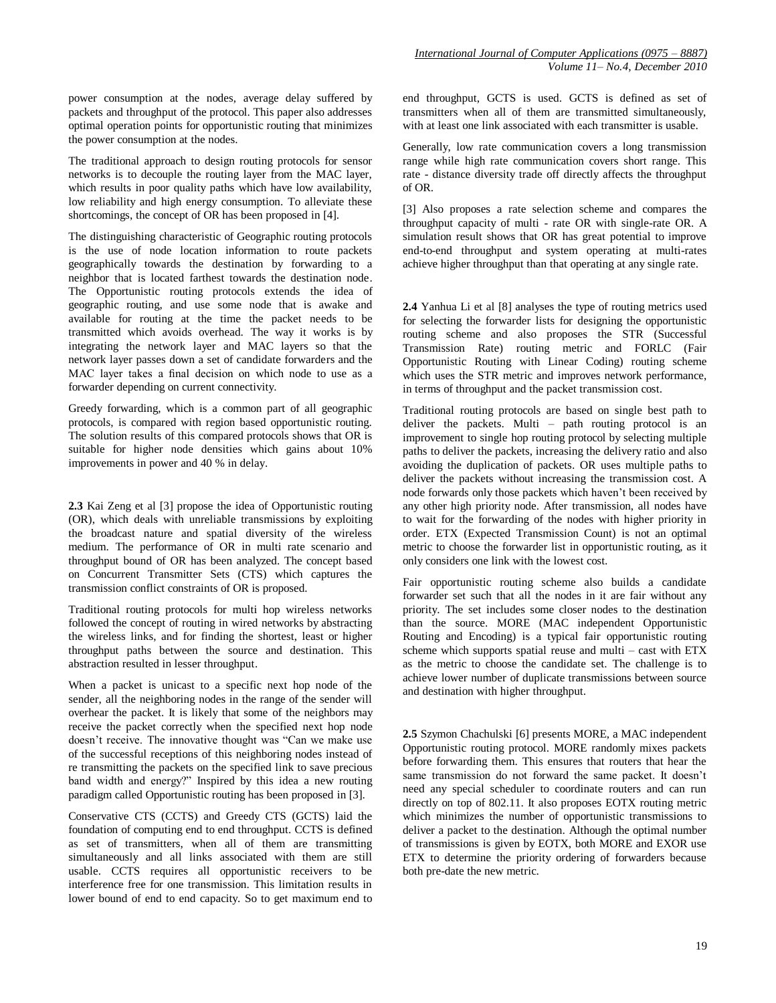power consumption at the nodes, average delay suffered by packets and throughput of the protocol. This paper also addresses optimal operation points for opportunistic routing that minimizes the power consumption at the nodes.

The traditional approach to design routing protocols for sensor networks is to decouple the routing layer from the MAC layer, which results in poor quality paths which have low availability, low reliability and high energy consumption. To alleviate these shortcomings, the concept of OR has been proposed in [4].

The distinguishing characteristic of Geographic routing protocols is the use of node location information to route packets geographically towards the destination by forwarding to a neighbor that is located farthest towards the destination node. The Opportunistic routing protocols extends the idea of geographic routing, and use some node that is awake and available for routing at the time the packet needs to be transmitted which avoids overhead. The way it works is by integrating the network layer and MAC layers so that the network layer passes down a set of candidate forwarders and the MAC layer takes a final decision on which node to use as a forwarder depending on current connectivity.

Greedy forwarding, which is a common part of all geographic protocols, is compared with region based opportunistic routing. The solution results of this compared protocols shows that OR is suitable for higher node densities which gains about 10% improvements in power and 40 % in delay.

**2.3** Kai Zeng et al [3] propose the idea of Opportunistic routing (OR), which deals with unreliable transmissions by exploiting the broadcast nature and spatial diversity of the wireless medium. The performance of OR in multi rate scenario and throughput bound of OR has been analyzed. The concept based on Concurrent Transmitter Sets (CTS) which captures the transmission conflict constraints of OR is proposed.

Traditional routing protocols for multi hop wireless networks followed the concept of routing in wired networks by abstracting the wireless links, and for finding the shortest, least or higher throughput paths between the source and destination. This abstraction resulted in lesser throughput.

When a packet is unicast to a specific next hop node of the sender, all the neighboring nodes in the range of the sender will overhear the packet. It is likely that some of the neighbors may receive the packet correctly when the specified next hop node doesn't receive. The innovative thought was "Can we make use of the successful receptions of this neighboring nodes instead of re transmitting the packets on the specified link to save precious band width and energy?" Inspired by this idea a new routing paradigm called Opportunistic routing has been proposed in [3].

Conservative CTS (CCTS) and Greedy CTS (GCTS) laid the foundation of computing end to end throughput. CCTS is defined as set of transmitters, when all of them are transmitting simultaneously and all links associated with them are still usable. CCTS requires all opportunistic receivers to be interference free for one transmission. This limitation results in lower bound of end to end capacity. So to get maximum end to end throughput, GCTS is used. GCTS is defined as set of transmitters when all of them are transmitted simultaneously, with at least one link associated with each transmitter is usable.

Generally, low rate communication covers a long transmission range while high rate communication covers short range. This rate - distance diversity trade off directly affects the throughput of OR.

[3] Also proposes a rate selection scheme and compares the throughput capacity of multi - rate OR with single-rate OR. A simulation result shows that OR has great potential to improve end-to-end throughput and system operating at multi-rates achieve higher throughput than that operating at any single rate.

**2.4** Yanhua Li et al [8] analyses the type of routing metrics used for selecting the forwarder lists for designing the opportunistic routing scheme and also proposes the STR (Successful Transmission Rate) routing metric and FORLC (Fair Opportunistic Routing with Linear Coding) routing scheme which uses the STR metric and improves network performance, in terms of throughput and the packet transmission cost.

Traditional routing protocols are based on single best path to deliver the packets. Multi – path routing protocol is an improvement to single hop routing protocol by selecting multiple paths to deliver the packets, increasing the delivery ratio and also avoiding the duplication of packets. OR uses multiple paths to deliver the packets without increasing the transmission cost. A node forwards only those packets which haven"t been received by any other high priority node. After transmission, all nodes have to wait for the forwarding of the nodes with higher priority in order. ETX (Expected Transmission Count) is not an optimal metric to choose the forwarder list in opportunistic routing, as it only considers one link with the lowest cost.

Fair opportunistic routing scheme also builds a candidate forwarder set such that all the nodes in it are fair without any priority. The set includes some closer nodes to the destination than the source. MORE (MAC independent Opportunistic Routing and Encoding) is a typical fair opportunistic routing scheme which supports spatial reuse and multi – cast with ETX as the metric to choose the candidate set. The challenge is to achieve lower number of duplicate transmissions between source and destination with higher throughput.

**2.5** Szymon Chachulski [6] presents MORE, a MAC independent Opportunistic routing protocol. MORE randomly mixes packets before forwarding them. This ensures that routers that hear the same transmission do not forward the same packet. It doesn"t need any special scheduler to coordinate routers and can run directly on top of 802.11. It also proposes EOTX routing metric which minimizes the number of opportunistic transmissions to deliver a packet to the destination. Although the optimal number of transmissions is given by EOTX, both MORE and EXOR use ETX to determine the priority ordering of forwarders because both pre-date the new metric.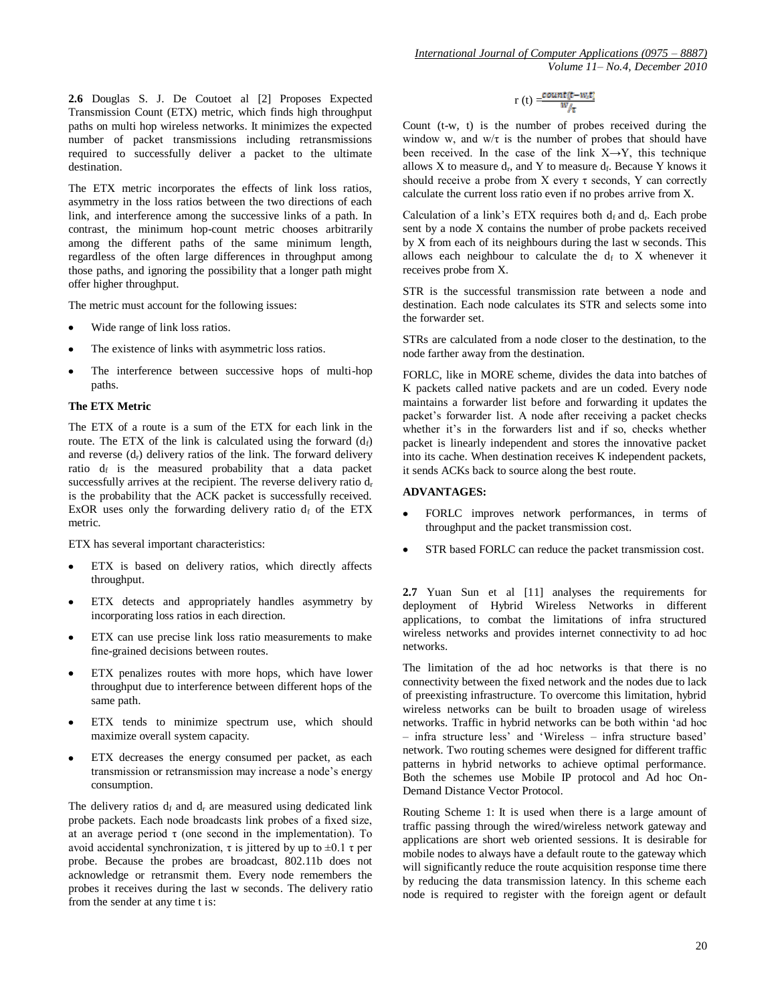**2.6** Douglas S. J. De Coutoet al [2] Proposes Expected Transmission Count (ETX) metric, which finds high throughput paths on multi hop wireless networks. It minimizes the expected number of packet transmissions including retransmissions required to successfully deliver a packet to the ultimate destination.

The ETX metric incorporates the effects of link loss ratios, asymmetry in the loss ratios between the two directions of each link, and interference among the successive links of a path. In contrast, the minimum hop-count metric chooses arbitrarily among the different paths of the same minimum length, regardless of the often large differences in throughput among those paths, and ignoring the possibility that a longer path might offer higher throughput.

The metric must account for the following issues:

- Wide range of link loss ratios.
- The existence of links with asymmetric loss ratios.
- The interference between successive hops of multi-hop paths.

#### **The ETX Metric**

The ETX of a route is a sum of the ETX for each link in the route. The ETX of the link is calculated using the forward  $(d_f)$ and reverse  $(d_r)$  delivery ratios of the link. The forward delivery ratio  $d_f$  is the measured probability that a data packet successfully arrives at the recipient. The reverse delivery ratio  $d_r$ is the probability that the ACK packet is successfully received. ExOR uses only the forwarding delivery ratio  $d_f$  of the ETX metric.

ETX has several important characteristics:

- ETX is based on delivery ratios, which directly affects throughput.
- ETX detects and appropriately handles asymmetry by incorporating loss ratios in each direction.
- ETX can use precise link loss ratio measurements to make fine-grained decisions between routes.
- ETX penalizes routes with more hops, which have lower throughput due to interference between different hops of the same path.
- ETX tends to minimize spectrum use, which should maximize overall system capacity.
- ETX decreases the energy consumed per packet, as each transmission or retransmission may increase a node"s energy consumption.

The delivery ratios  $d_f$  and  $d_r$  are measured using dedicated link probe packets. Each node broadcasts link probes of a fixed size, at an average period τ (one second in the implementation). To avoid accidental synchronization, τ is jittered by up to  $\pm$ 0.1 τ per probe. Because the probes are broadcast, 802.11b does not acknowledge or retransmit them. Every node remembers the probes it receives during the last w seconds. The delivery ratio from the sender at any time t is:

$$
r\left(t\right)=\frac{\text{count}(t-w_it)}{w_{\text{f}}}
$$

Count (t-w, t) is the number of probes received during the window w, and  $w/\tau$  is the number of probes that should have been received. In the case of the link  $X \rightarrow Y$ , this technique allows X to measure  $d_r$ , and Y to measure  $d_f$ . Because Y knows it should receive a probe from X every  $\tau$  seconds, Y can correctly calculate the current loss ratio even if no probes arrive from X.

Calculation of a link's ETX requires both  $d_f$  and  $d_r$ . Each probe sent by a node X contains the number of probe packets received by X from each of its neighbours during the last w seconds. This allows each neighbour to calculate the  $d_f$  to X whenever it receives probe from X.

STR is the successful transmission rate between a node and destination. Each node calculates its STR and selects some into the forwarder set.

STRs are calculated from a node closer to the destination, to the node farther away from the destination.

FORLC, like in MORE scheme, divides the data into batches of K packets called native packets and are un coded. Every node maintains a forwarder list before and forwarding it updates the packet"s forwarder list. A node after receiving a packet checks whether it's in the forwarders list and if so, checks whether packet is linearly independent and stores the innovative packet into its cache. When destination receives K independent packets, it sends ACKs back to source along the best route.

#### **ADVANTAGES:**

- FORLC improves network performances, in terms of throughput and the packet transmission cost.
- STR based FORLC can reduce the packet transmission cost.

**2.7** Yuan Sun et al [11] analyses the requirements for deployment of Hybrid Wireless Networks in different applications, to combat the limitations of infra structured wireless networks and provides internet connectivity to ad hoc networks.

The limitation of the ad hoc networks is that there is no connectivity between the fixed network and the nodes due to lack of preexisting infrastructure. To overcome this limitation, hybrid wireless networks can be built to broaden usage of wireless networks. Traffic in hybrid networks can be both within "ad hoc – infra structure less" and "Wireless – infra structure based" network. Two routing schemes were designed for different traffic patterns in hybrid networks to achieve optimal performance. Both the schemes use Mobile IP protocol and Ad hoc On-Demand Distance Vector Protocol.

Routing Scheme 1: It is used when there is a large amount of traffic passing through the wired/wireless network gateway and applications are short web oriented sessions. It is desirable for mobile nodes to always have a default route to the gateway which will significantly reduce the route acquisition response time there by reducing the data transmission latency. In this scheme each node is required to register with the foreign agent or default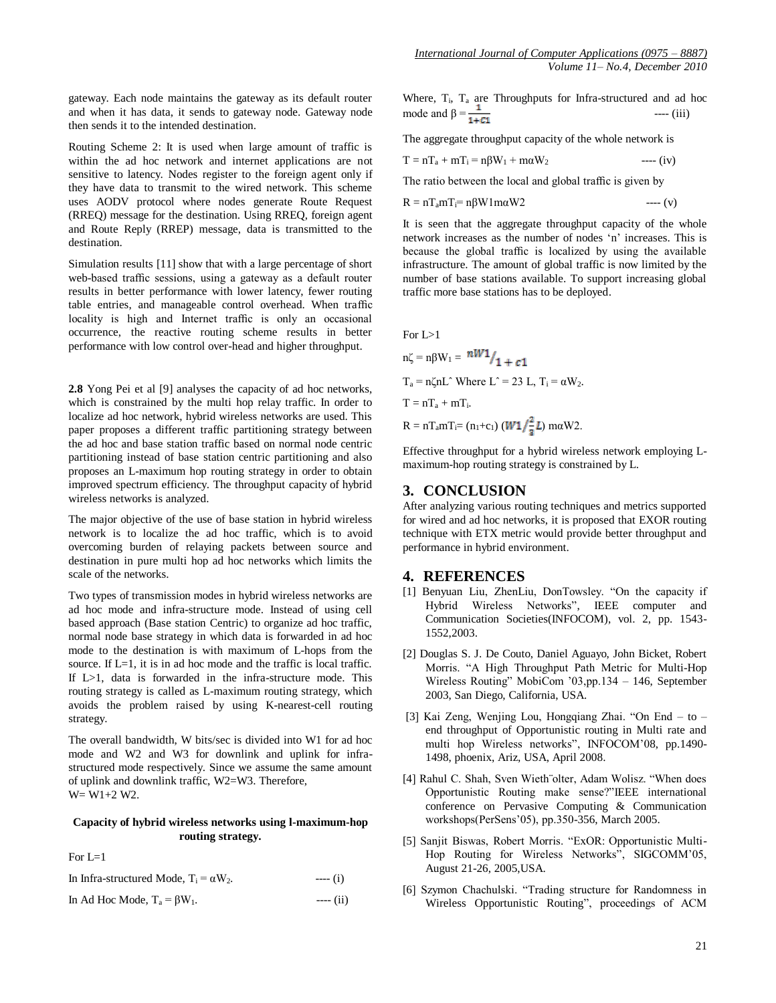gateway. Each node maintains the gateway as its default router and when it has data, it sends to gateway node. Gateway node then sends it to the intended destination.

Routing Scheme 2: It is used when large amount of traffic is within the ad hoc network and internet applications are not sensitive to latency. Nodes register to the foreign agent only if they have data to transmit to the wired network. This scheme uses AODV protocol where nodes generate Route Request (RREQ) message for the destination. Using RREQ, foreign agent and Route Reply (RREP) message, data is transmitted to the destination.

Simulation results [11] show that with a large percentage of short web-based traffic sessions, using a gateway as a default router results in better performance with lower latency, fewer routing table entries, and manageable control overhead. When traffic locality is high and Internet traffic is only an occasional occurrence, the reactive routing scheme results in better performance with low control over-head and higher throughput.

**2.8** Yong Pei et al [9] analyses the capacity of ad hoc networks, which is constrained by the multi hop relay traffic. In order to localize ad hoc network, hybrid wireless networks are used. This paper proposes a different traffic partitioning strategy between the ad hoc and base station traffic based on normal node centric partitioning instead of base station centric partitioning and also proposes an L-maximum hop routing strategy in order to obtain improved spectrum efficiency. The throughput capacity of hybrid wireless networks is analyzed.

The major objective of the use of base station in hybrid wireless network is to localize the ad hoc traffic, which is to avoid overcoming burden of relaying packets between source and destination in pure multi hop ad hoc networks which limits the scale of the networks.

Two types of transmission modes in hybrid wireless networks are ad hoc mode and infra-structure mode. Instead of using cell based approach (Base station Centric) to organize ad hoc traffic, normal node base strategy in which data is forwarded in ad hoc mode to the destination is with maximum of L-hops from the source. If L=1, it is in ad hoc mode and the traffic is local traffic. If L>1, data is forwarded in the infra-structure mode. This routing strategy is called as L-maximum routing strategy, which avoids the problem raised by using K-nearest-cell routing strategy.

The overall bandwidth, W bits/sec is divided into W1 for ad hoc mode and W2 and W3 for downlink and uplink for infrastructured mode respectively. Since we assume the same amount of uplink and downlink traffic, W2=W3. Therefore, W= W1+2 W2.

#### **Capacity of hybrid wireless networks using l-maximum-hop routing strategy.**

For  $L=1$ 

| In Infra-structured Mode, $T_i = \alpha W_2$ . | $---(i)$  |
|------------------------------------------------|-----------|
| In Ad Hoc Mode, $T_a = \beta W_1$ .            | $---(ii)$ |

Where, T<sub>i</sub>, T<sub>a</sub> are Throughputs for Infra-structured and ad hoc mode and β = ---- (iii)

The aggregate throughput capacity of the whole network is

$$
T = nT_a + mT_i = n\beta W_1 + m\alpha W_2 \qquad \qquad \text{---} \text{ (iv)}
$$

The ratio between the local and global traffic is given by

$$
R = nT_a mT_i = n\beta W 1 m\alpha W 2 \qquad \qquad --- (v)
$$

It is seen that the aggregate throughput capacity of the whole network increases as the number of nodes "n" increases. This is because the global traffic is localized by using the available infrastructure. The amount of global traffic is now limited by the number of base stations available. To support increasing global traffic more base stations has to be deployed.

For L>1

 $n\zeta = n\beta W_1 = \frac{nW_1}{1 + c_1}$  $T_a = n\zeta nL^{\hat{ }}$  Where  $L^{\hat{ }} = 23 L$ ,  $T_i = \alpha W_2$ .  $T = nT_a + mT_i$ .  $R = nT_a mT_i = (n_1 + c_1) (W_1 / \frac{2}{n} L) m\alpha W_2$ .

Effective throughput for a hybrid wireless network employing Lmaximum-hop routing strategy is constrained by L.

### **3. CONCLUSION**

After analyzing various routing techniques and metrics supported for wired and ad hoc networks, it is proposed that EXOR routing technique with ETX metric would provide better throughput and performance in hybrid environment.

#### **4. REFERENCES**

- [1] Benyuan Liu, ZhenLiu, DonTowsley. "On the capacity if Hybrid Wireless Networks", IEEE computer and Communication Societies(INFOCOM), vol. 2, pp. 1543- 1552,2003.
- [2] Douglas S. J. De Couto, Daniel Aguayo, John Bicket, Robert Morris. "A High Throughput Path Metric for Multi-Hop Wireless Routing" MobiCom "03,pp.134 – 146, September 2003, San Diego, California, USA.
- [3] Kai Zeng, Wenjing Lou, Hongqiang Zhai. "On End to end throughput of Opportunistic routing in Multi rate and multi hop Wireless networks", INFOCOM"08, pp.1490- 1498, phoenix, Ariz, USA, April 2008.
- [4] Rahul C. Shah, Sven Wieth¨olter, Adam Wolisz. "When does Opportunistic Routing make sense?"IEEE international conference on Pervasive Computing & Communication workshops(PerSens"05), pp.350-356, March 2005.
- [5] Sanjit Biswas, Robert Morris. "ExOR: Opportunistic Multi-Hop Routing for Wireless Networks", SIGCOMM"05, August 21-26, 2005,USA.
- [6] Szymon Chachulski. "Trading structure for Randomness in Wireless Opportunistic Routing", proceedings of ACM